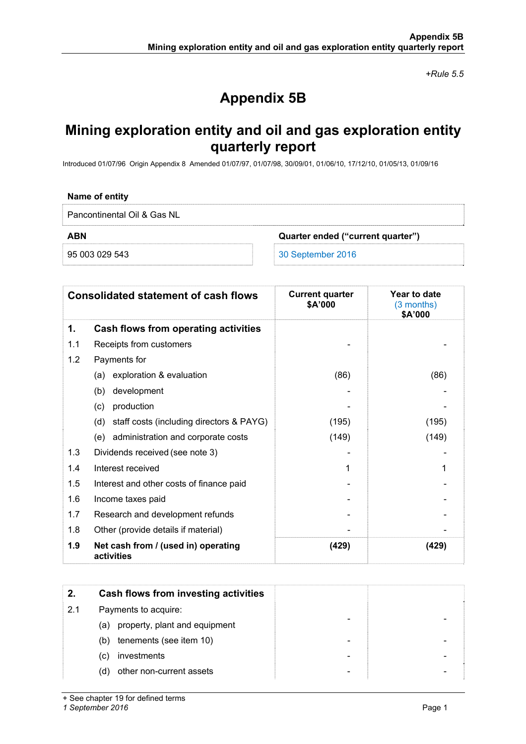*+Rule 5.5* 

# **Appendix 5B**

## **Mining exploration entity and oil and gas exploration entity quarterly report**

Introduced 01/07/96 Origin Appendix 8 Amended 01/07/97, 01/07/98, 30/09/01, 01/06/10, 17/12/10, 01/05/13, 01/09/16

#### **Name of entity**

Pancontinental Oil & Gas NL

**ABN Quarter ended ("current quarter")** 

95 003 029 543 30 September 2016

|     | <b>Consolidated statement of cash flows</b>       | <b>Current quarter</b><br>\$A'000 | Year to date<br>$(3$ months)<br>\$A'000 |
|-----|---------------------------------------------------|-----------------------------------|-----------------------------------------|
| 1.  | Cash flows from operating activities              |                                   |                                         |
| 1.1 | Receipts from customers                           |                                   |                                         |
| 1.2 | Payments for                                      |                                   |                                         |
|     | exploration & evaluation<br>(a)                   | (86)                              | (86)                                    |
|     | development<br>(b)                                |                                   |                                         |
|     | production<br>(c)                                 |                                   |                                         |
|     | (d) staff costs (including directors & PAYG)      | (195)                             | (195)                                   |
|     | administration and corporate costs<br>(e)         | (149)                             | (149)                                   |
| 1.3 | Dividends received (see note 3)                   |                                   |                                         |
| 1.4 | Interest received                                 | 1                                 |                                         |
| 1.5 | Interest and other costs of finance paid          |                                   |                                         |
| 1.6 | Income taxes paid                                 |                                   |                                         |
| 1.7 | Research and development refunds                  |                                   |                                         |
| 1.8 | Other (provide details if material)               |                                   |                                         |
| 1.9 | Net cash from / (used in) operating<br>activities | (429)                             | (429)                                   |

| 2.  | Cash flows from investing activities |
|-----|--------------------------------------|
| 2.1 | Payments to acquire:                 |
| (a) | property, plant and equipment        |
| (b) | tenements (see item 10)              |
| (C) | investments                          |
| (d) | other non-current assets             |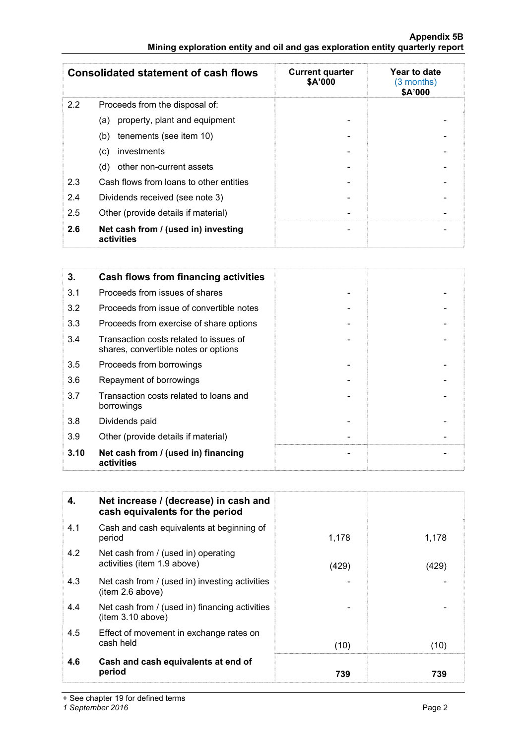#### **Appendix 5B Mining exploration entity and oil and gas exploration entity quarterly report**

|     | <b>Consolidated statement of cash flows</b>       | <b>Current quarter</b><br>\$A'000 | Year to date<br>(3 months)<br>\$A'000 |
|-----|---------------------------------------------------|-----------------------------------|---------------------------------------|
| 2.2 | Proceeds from the disposal of:                    |                                   |                                       |
|     | property, plant and equipment<br>(a)              |                                   |                                       |
|     | tenements (see item 10)<br>(b)                    |                                   |                                       |
|     | investments<br>(c)                                |                                   |                                       |
|     | other non-current assets<br>(d)                   |                                   |                                       |
| 2.3 | Cash flows from loans to other entities           |                                   |                                       |
| 2.4 | Dividends received (see note 3)                   |                                   |                                       |
| 2.5 | Other (provide details if material)               |                                   |                                       |
| 2.6 | Net cash from / (used in) investing<br>activities | $\overline{\phantom{0}}$          |                                       |

| 3.   | Cash flows from financing activities                                           |  |
|------|--------------------------------------------------------------------------------|--|
| 3.1  | Proceeds from issues of shares                                                 |  |
| 3.2  | Proceeds from issue of convertible notes                                       |  |
| 3.3  | Proceeds from exercise of share options                                        |  |
| 3.4  | Transaction costs related to issues of<br>shares, convertible notes or options |  |
| 3.5  | Proceeds from borrowings                                                       |  |
| 3.6  | Repayment of borrowings                                                        |  |
| 3.7  | Transaction costs related to loans and<br>borrowings                           |  |
| 3.8  | Dividends paid                                                                 |  |
| 3.9  | Other (provide details if material)                                            |  |
| 3.10 | Net cash from / (used in) financing<br>activities                              |  |

| 4.  | Net increase / (decrease) in cash and<br>cash equivalents for the period |       |       |
|-----|--------------------------------------------------------------------------|-------|-------|
| 4.1 | Cash and cash equivalents at beginning of<br>period                      | 1,178 | 1,178 |
| 4.2 | Net cash from / (used in) operating<br>activities (item 1.9 above)       | (429) | (429) |
| 4.3 | Net cash from / (used in) investing activities<br>item 2.6 above)        |       |       |
| 4.4 | Net cash from / (used in) financing activities<br>item 3.10 above)       |       |       |
| 4.5 | Effect of movement in exchange rates on<br>cash held                     | (10)  | (10)  |
| 4.6 | Cash and cash equivalents at end of<br>period                            | 739   | 739   |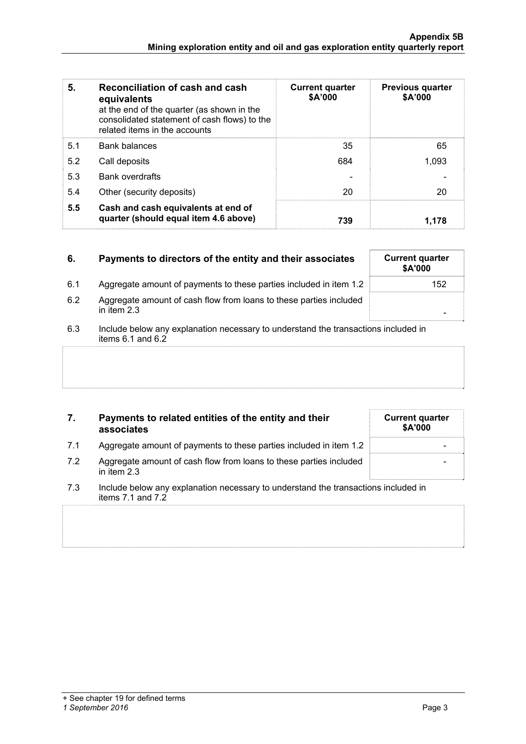| 5.  | Reconciliation of cash and cash<br>equivalents<br>at the end of the quarter (as shown in the<br>consolidated statement of cash flows) to the<br>related items in the accounts | <b>Current quarter</b><br>\$A'000 | <b>Previous quarter</b><br>\$A'000 |
|-----|-------------------------------------------------------------------------------------------------------------------------------------------------------------------------------|-----------------------------------|------------------------------------|
| 5.1 | <b>Bank balances</b>                                                                                                                                                          | 35                                | 65                                 |
| 5.2 | Call deposits                                                                                                                                                                 | 684                               | 1.093                              |
| 5.3 | <b>Bank overdrafts</b>                                                                                                                                                        |                                   |                                    |
| 5.4 | Other (security deposits)                                                                                                                                                     | 20                                | 20                                 |
| 5.5 | Cash and cash equivalents at end of<br>quarter (should equal item 4.6 above)                                                                                                  | 739                               | 1.178                              |

# **6.** Payments to directors of the entity and their associates Current quarter

- 6.1 Aggregate amount of payments to these parties included in item 1.2 152
- 6.2 Aggregate amount of cash flow from loans to these parties included<br>in item 2.3 in item 2.3 -
- 6.3 Include below any explanation necessary to understand the transactions included in items  $6.1$  and  $6.2$

### **7. Payments to related entities of the entity and their associates**

- 7.1 Aggregate amount of payments to these parties included in item 1.2
- 7.2 Aggregate amount of cash flow from loans to these parties included in item 2.3
- 7.3 Include below any explanation necessary to understand the transactions included in items 7.1 and 7.2

| <b>Current quarter</b><br>\$A'000 |
|-----------------------------------|
|                                   |
|                                   |
|                                   |

**\$A'000**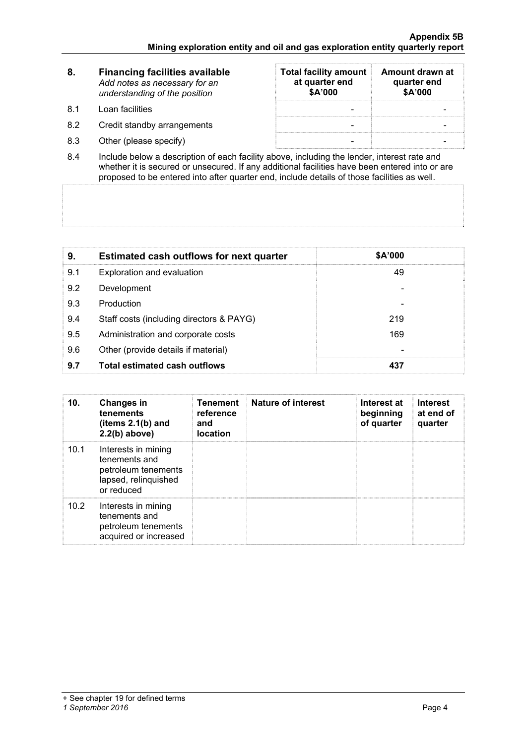| -8. | <b>Financing facilities available</b><br>Add notes as necessary for an<br>understanding of the position | <b>Total facility amount</b><br>at quarter end<br>\$A'000 | Amount drawn at<br>quarter end<br>\$A'000 |
|-----|---------------------------------------------------------------------------------------------------------|-----------------------------------------------------------|-------------------------------------------|
| 81  | Loan facilities                                                                                         |                                                           |                                           |
| 8.2 | Credit standby arrangements                                                                             |                                                           |                                           |
| 8.3 | Other (please specify)                                                                                  |                                                           |                                           |

8.4 Include below a description of each facility above, including the lender, interest rate and whether it is secured or unsecured. If any additional facilities have been entered into or are proposed to be entered into after quarter end, include details of those facilities as well.

| 9.  | <b>Estimated cash outflows for next quarter</b> | \$A'000 |  |
|-----|-------------------------------------------------|---------|--|
| 9.1 | Exploration and evaluation                      | 49      |  |
| 9.2 | Development                                     |         |  |
| 9.3 | Production                                      |         |  |
| 9.4 | Staff costs (including directors & PAYG)        | 219     |  |
| 9.5 | Administration and corporate costs              | 169     |  |
| 9.6 | Other (provide details if material)             |         |  |
| 9.7 | <b>Total estimated cash outflows</b>            | 437     |  |

| 10.  | <b>Changes in</b><br>tenements<br>(items $2.1(b)$ and<br>$2.2(b)$ above)                          | <b>Tenement</b><br>reference<br>and<br><b>location</b> | <b>Nature of interest</b> | Interest at<br>beginning<br>of quarter | <b>Interest</b><br>at end of<br>quarter |
|------|---------------------------------------------------------------------------------------------------|--------------------------------------------------------|---------------------------|----------------------------------------|-----------------------------------------|
| 10.1 | Interests in mining<br>tenements and<br>petroleum tenements<br>lapsed, relinquished<br>or reduced |                                                        |                           |                                        |                                         |
| 10.2 | Interests in mining<br>tenements and<br>petroleum tenements<br>acquired or increased              |                                                        |                           |                                        |                                         |